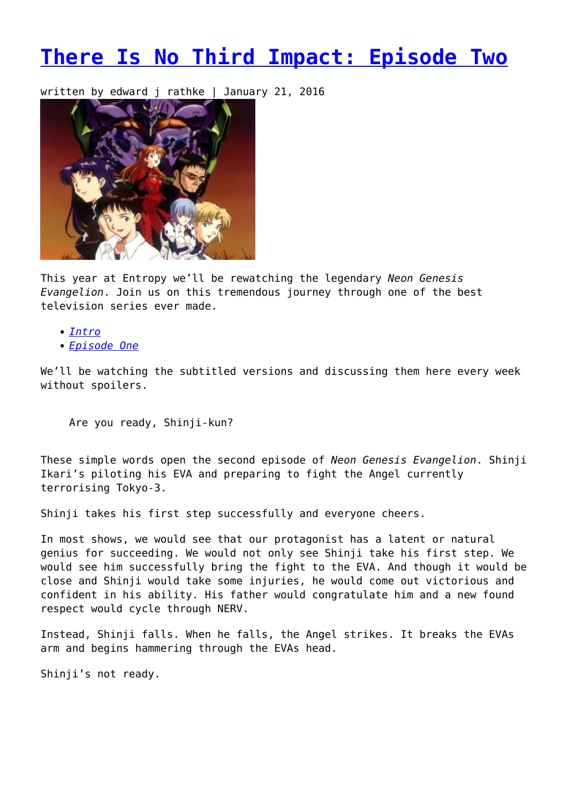## **[There Is No Third Impact: Episode Two](https://entropymag.org/there-is-no-third-impact-episode-two/)**

written by edward j rathke | January 21, 2016



This year at Entropy we'll be rewatching the legendary *Neon Genesis Evangelion*. Join us on this tremendous journey through one of the best television series ever made.

- *[Intro](https://entropymag.org/there-is-no-third-impact-revisiting-evangelion/)*
- *[Episode One](https://entropymag.org/there-is-no-third-impact-episode-one/)*

We'll be watching the subtitled versions and discussing them here every week without spoilers.

Are you ready, Shinji-kun?

These simple words open the second episode of *Neon Genesis Evangelion*. Shinji Ikari's piloting his EVA and preparing to fight the Angel currently terrorising Tokyo-3.

Shinji takes his first step successfully and everyone cheers.

In most shows, we would see that our protagonist has a latent or natural genius for succeeding. We would not only see Shinji take his first step. We would see him successfully bring the fight to the EVA. And though it would be close and Shinji would take some injuries, he would come out victorious and confident in his ability. His father would congratulate him and a new found respect would cycle through NERV.

Instead, Shinji falls. When he falls, the Angel strikes. It breaks the EVAs arm and begins hammering through the EVAs head.

Shinji's not ready.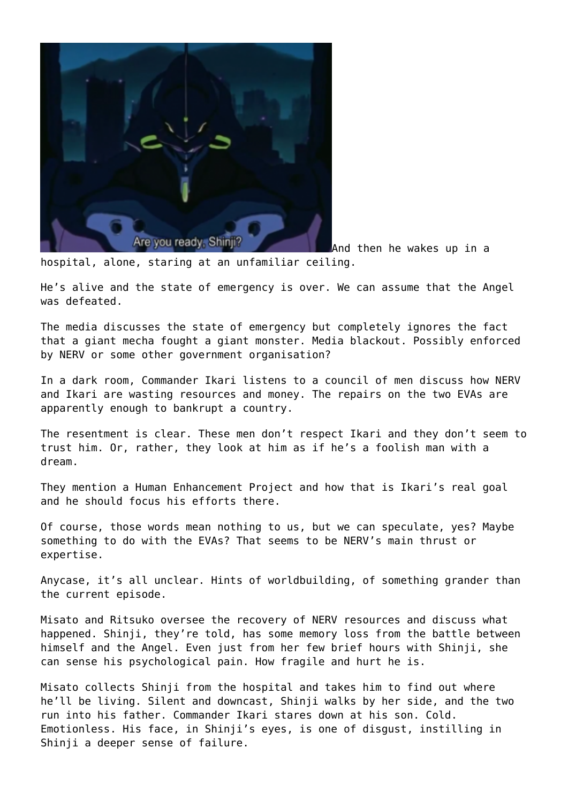

And then he wakes up in a

hospital, alone, staring at an unfamiliar ceiling.

He's alive and the state of emergency is over. We can assume that the Angel was defeated.

The media discusses the state of emergency but completely ignores the fact that a giant mecha fought a giant monster. Media blackout. Possibly enforced by NERV or some other government organisation?

In a dark room, Commander Ikari listens to a council of men discuss how NERV and Ikari are wasting resources and money. The repairs on the two EVAs are apparently enough to bankrupt a country.

The resentment is clear. These men don't respect Ikari and they don't seem to trust him. Or, rather, they look at him as if he's a foolish man with a dream.

They mention a Human Enhancement Project and how that is Ikari's real goal and he should focus his efforts there.

Of course, those words mean nothing to us, but we can speculate, yes? Maybe something to do with the EVAs? That seems to be NERV's main thrust or expertise.

Anycase, it's all unclear. Hints of worldbuilding, of something grander than the current episode.

Misato and Ritsuko oversee the recovery of NERV resources and discuss what happened. Shinji, they're told, has some memory loss from the battle between himself and the Angel. Even just from her few brief hours with Shinji, she can sense his psychological pain. How fragile and hurt he is.

Misato collects Shinji from the hospital and takes him to find out where he'll be living. Silent and downcast, Shinji walks by her side, and the two run into his father. Commander Ikari stares down at his son. Cold. Emotionless. His face, in Shinji's eyes, is one of disgust, instilling in Shinji a deeper sense of failure.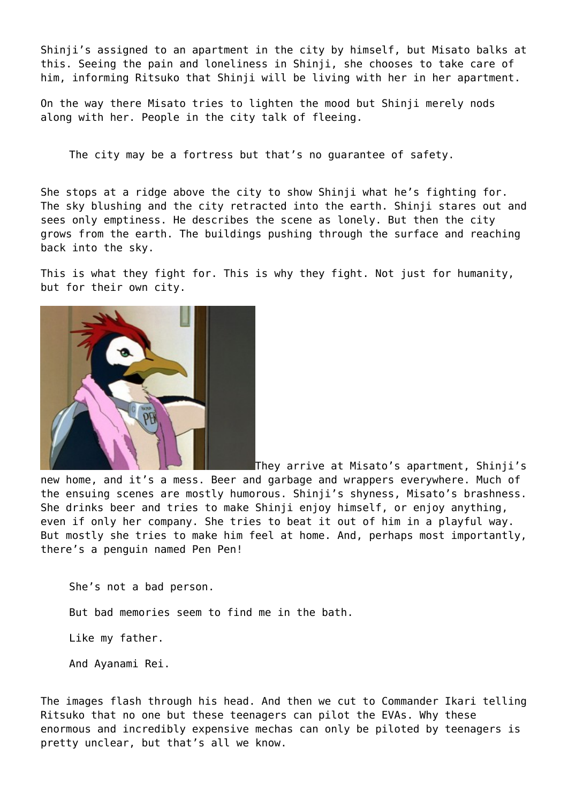Shinji's assigned to an apartment in the city by himself, but Misato balks at this. Seeing the pain and loneliness in Shinji, she chooses to take care of him, informing Ritsuko that Shinji will be living with her in her apartment.

On the way there Misato tries to lighten the mood but Shinji merely nods along with her. People in the city talk of fleeing.

The city may be a fortress but that's no guarantee of safety.

She stops at a ridge above the city to show Shinji what he's fighting for. The sky blushing and the city retracted into the earth. Shinji stares out and sees only emptiness. He describes the scene as lonely. But then the city grows from the earth. The buildings pushing through the surface and reaching back into the sky.

This is what they fight for. This is why they fight. Not just for humanity, but for their own city.



They arrive at Misato's apartment, Shinji's new home, and it's a mess. Beer and garbage and wrappers everywhere. Much of the ensuing scenes are mostly humorous. Shinji's shyness, Misato's brashness. She drinks beer and tries to make Shinji enjoy himself, or enjoy anything, even if only her company. She tries to beat it out of him in a playful way. But mostly she tries to make him feel at home. And, perhaps most importantly, there's a penguin named Pen Pen!

She's not a bad person. But bad memories seem to find me in the bath. Like my father. And Ayanami Rei.

The images flash through his head. And then we cut to Commander Ikari telling Ritsuko that no one but these teenagers can pilot the EVAs. Why these enormous and incredibly expensive mechas can only be piloted by teenagers is pretty unclear, but that's all we know.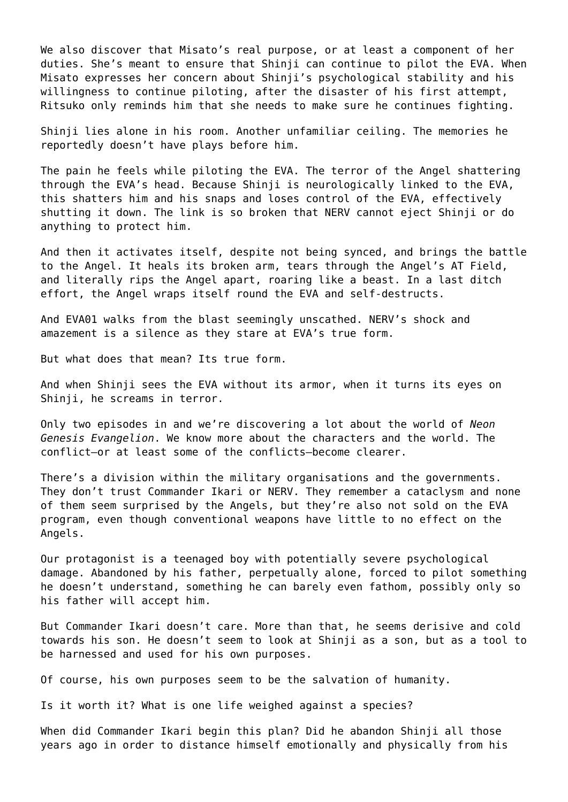We also discover that Misato's real purpose, or at least a component of her duties. She's meant to ensure that Shinji can continue to pilot the EVA. When Misato expresses her concern about Shinji's psychological stability and his willingness to continue piloting, after the disaster of his first attempt, Ritsuko only reminds him that she needs to make sure he continues fighting.

Shinji lies alone in his room. Another unfamiliar ceiling. The memories he reportedly doesn't have plays before him.

The pain he feels while piloting the EVA. The terror of the Angel shattering through the EVA's head. Because Shinji is neurologically linked to the EVA, this shatters him and his snaps and loses control of the EVA, effectively shutting it down. The link is so broken that NERV cannot eject Shinji or do anything to protect him.

And then it activates itself, despite not being synced, and brings the battle to the Angel. It heals its broken arm, tears through the Angel's AT Field, and literally rips the Angel apart, roaring like a beast. In a last ditch effort, the Angel wraps itself round the EVA and self-destructs.

And EVA01 walks from the blast seemingly unscathed. NERV's shock and amazement is a silence as they stare at EVA's true form.

But what does that mean? Its true form.

And when Shinji sees the EVA without its armor, when it turns its eyes on Shinji, he screams in terror.

Only two episodes in and we're discovering a lot about the world of *Neon Genesis Evangelion*. We know more about the characters and the world. The conflict–or at least some of the conflicts–become clearer.

There's a division within the military organisations and the governments. They don't trust Commander Ikari or NERV. They remember a cataclysm and none of them seem surprised by the Angels, but they're also not sold on the EVA program, even though conventional weapons have little to no effect on the Angels.

Our protagonist is a teenaged boy with potentially severe psychological damage. Abandoned by his father, perpetually alone, forced to pilot something he doesn't understand, something he can barely even fathom, possibly only so his father will accept him.

But Commander Ikari doesn't care. More than that, he seems derisive and cold towards his son. He doesn't seem to look at Shinji as a son, but as a tool to be harnessed and used for his own purposes.

Of course, his own purposes seem to be the salvation of humanity.

Is it worth it? What is one life weighed against a species?

When did Commander Ikari begin this plan? Did he abandon Shinji all those years ago in order to distance himself emotionally and physically from his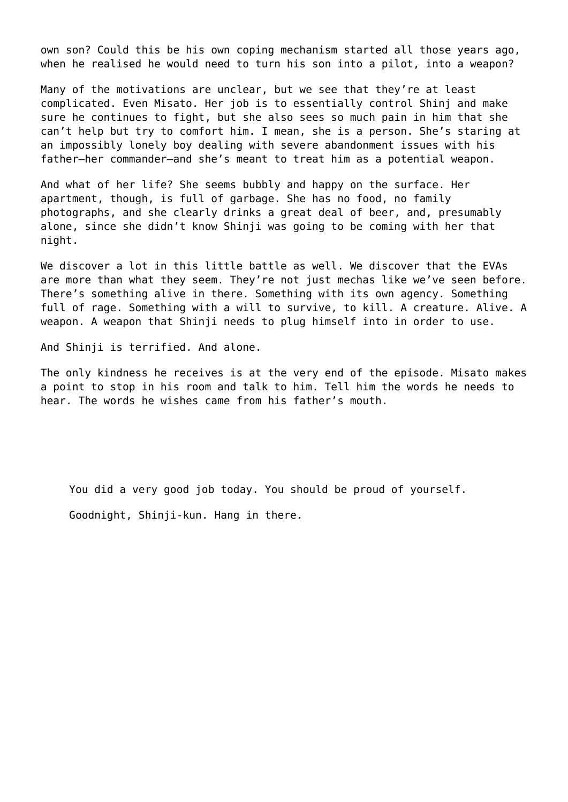own son? Could this be his own coping mechanism started all those years ago, when he realised he would need to turn his son into a pilot, into a weapon?

Many of the motivations are unclear, but we see that they're at least complicated. Even Misato. Her job is to essentially control Shinj and make sure he continues to fight, but she also sees so much pain in him that she can't help but try to comfort him. I mean, she is a person. She's staring at an impossibly lonely boy dealing with severe abandonment issues with his father–her commander–and she's meant to treat him as a potential weapon.

And what of her life? She seems bubbly and happy on the surface. Her apartment, though, is full of garbage. She has no food, no family photographs, and she clearly drinks a great deal of beer, and, presumably alone, since she didn't know Shinii was going to be coming with her that night.

We discover a lot in this little battle as well. We discover that the EVAs are more than what they seem. They're not just mechas like we've seen before. There's something alive in there. Something with its own agency. Something full of rage. Something with a will to survive, to kill. A creature. Alive. A weapon. A weapon that Shinji needs to plug himself into in order to use.

And Shinji is terrified. And alone.

The only kindness he receives is at the very end of the episode. Misato makes a point to stop in his room and talk to him. Tell him the words he needs to hear. The words he wishes came from his father's mouth.

You did a very good job today. You should be proud of yourself.

Goodnight, Shinji-kun. Hang in there.